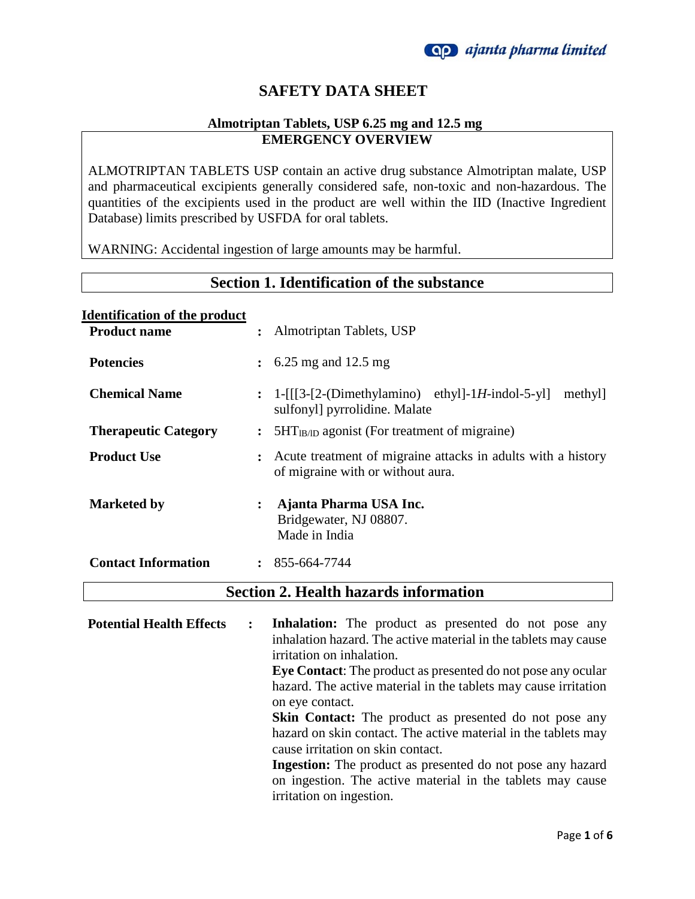

### **SAFETY DATA SHEET**

#### **Almotriptan Tablets, USP 6.25 mg and 12.5 mg EMERGENCY OVERVIEW**

ALMOTRIPTAN TABLETS USP contain an active drug substance Almotriptan malate, USP and pharmaceutical excipients generally considered safe, non-toxic and non-hazardous. The quantities of the excipients used in the product are well within the IID (Inactive Ingredient Database) limits prescribed by USFDA for oral tablets.

WARNING: Accidental ingestion of large amounts may be harmful.

# **Section 1. Identification of the substance**

| <b>Identification of the product</b>         |                |                                                                                                               |  |  |  |
|----------------------------------------------|----------------|---------------------------------------------------------------------------------------------------------------|--|--|--|
| <b>Product name</b>                          |                | : Almotriptan Tablets, USP                                                                                    |  |  |  |
| <b>Potencies</b>                             |                | $\frac{1}{2}$ 6.25 mg and 12.5 mg                                                                             |  |  |  |
| <b>Chemical Name</b>                         |                | $: 1-[[[3-[2-(Dimethylamino) \text{ethyl}]-1H\text{-indol-5-y}]]$<br>methyl]<br>sulfonyl] pyrrolidine. Malate |  |  |  |
| <b>Therapeutic Category</b>                  |                | $5HT_{IB/ID}$ agonist (For treatment of migraine)                                                             |  |  |  |
| <b>Product Use</b>                           |                | : Acute treatment of migraine attacks in adults with a history<br>of migraine with or without aura.           |  |  |  |
| <b>Marketed by</b>                           | $\ddot{\cdot}$ | Ajanta Pharma USA Inc.<br>Bridgewater, NJ 08807.<br>Made in India                                             |  |  |  |
| <b>Contact Information</b>                   |                | $: 855-664-7744$                                                                                              |  |  |  |
| <b>Section 2. Health hazards information</b> |                |                                                                                                               |  |  |  |

**Potential Health Effects : Inhalation:** The product as presented do not pose any inhalation hazard. The active material in the tablets may cause irritation on inhalation. **Eye Contact**: The product as presented do not pose any ocular hazard. The active material in the tablets may cause irritation on eye contact. **Skin Contact:** The product as presented do not pose any hazard on skin contact. The active material in the tablets may cause irritation on skin contact. **Ingestion:** The product as presented do not pose any hazard on ingestion. The active material in the tablets may cause irritation on ingestion.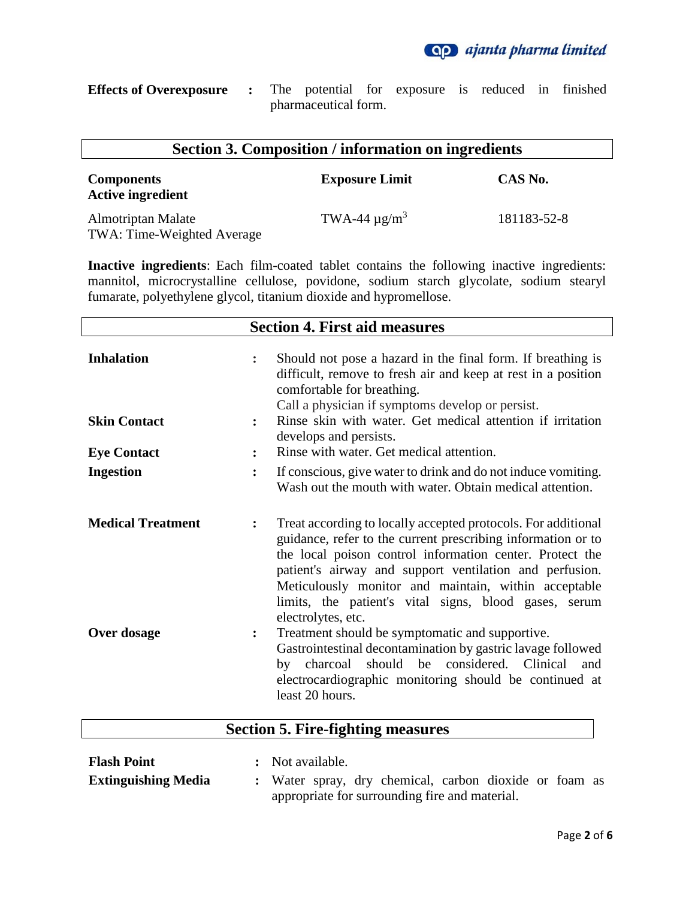

| <b>Effects of Overexposure :</b> The potential for exposure is reduced in finished |  |                      |  |  |  |
|------------------------------------------------------------------------------------|--|----------------------|--|--|--|
|                                                                                    |  | pharmaceutical form. |  |  |  |

| <b>Section 3. Composition / information on ingredients</b> |                               |             |  |  |  |
|------------------------------------------------------------|-------------------------------|-------------|--|--|--|
| <b>Components</b><br><b>Active ingredient</b>              | <b>Exposure Limit</b>         | CAS No.     |  |  |  |
| Almotriptan Malate<br>TWA: Time-Weighted Average           | TWA-44 $\mu$ g/m <sup>3</sup> | 181183-52-8 |  |  |  |

**Inactive ingredients**: Each film-coated tablet contains the following inactive ingredients: mannitol, microcrystalline cellulose, povidone, sodium starch glycolate, sodium stearyl fumarate, polyethylene glycol, titanium dioxide and hypromellose.

|                                         | <b>Section 4. First aid measures</b>                                                                                                                                                                                                                                                                                                                                                                                                                                                                                                                                                                                                                                      |
|-----------------------------------------|---------------------------------------------------------------------------------------------------------------------------------------------------------------------------------------------------------------------------------------------------------------------------------------------------------------------------------------------------------------------------------------------------------------------------------------------------------------------------------------------------------------------------------------------------------------------------------------------------------------------------------------------------------------------------|
| <b>Inhalation</b>                       | Should not pose a hazard in the final form. If breathing is<br>$\ddot{\cdot}$<br>difficult, remove to fresh air and keep at rest in a position<br>comfortable for breathing.<br>Call a physician if symptoms develop or persist.                                                                                                                                                                                                                                                                                                                                                                                                                                          |
| <b>Skin Contact</b>                     | Rinse skin with water. Get medical attention if irritation<br>$\ddot{\cdot}$<br>develops and persists.                                                                                                                                                                                                                                                                                                                                                                                                                                                                                                                                                                    |
| <b>Eye Contact</b>                      | Rinse with water. Get medical attention.<br>$\ddot{\cdot}$                                                                                                                                                                                                                                                                                                                                                                                                                                                                                                                                                                                                                |
| <b>Ingestion</b>                        | If conscious, give water to drink and do not induce vomiting.<br>$\ddot{\cdot}$<br>Wash out the mouth with water. Obtain medical attention.                                                                                                                                                                                                                                                                                                                                                                                                                                                                                                                               |
| <b>Medical Treatment</b><br>Over dosage | Treat according to locally accepted protocols. For additional<br>$\ddot{\cdot}$<br>guidance, refer to the current prescribing information or to<br>the local poison control information center. Protect the<br>patient's airway and support ventilation and perfusion.<br>Meticulously monitor and maintain, within acceptable<br>limits, the patient's vital signs, blood gases, serum<br>electrolytes, etc.<br>Treatment should be symptomatic and supportive.<br>፡<br>Gastrointestinal decontamination by gastric lavage followed<br>should be considered. Clinical<br>by charcoal<br>and<br>electrocardiographic monitoring should be continued at<br>least 20 hours. |

### **Section 5. Fire-fighting measures**

| <b>Flash Point</b>         | : Not available.                               |  |  |                                                        |  |  |  |  |  |
|----------------------------|------------------------------------------------|--|--|--------------------------------------------------------|--|--|--|--|--|
| <b>Extinguishing Media</b> |                                                |  |  | : Water spray, dry chemical, carbon dioxide or foam as |  |  |  |  |  |
|                            | appropriate for surrounding fire and material. |  |  |                                                        |  |  |  |  |  |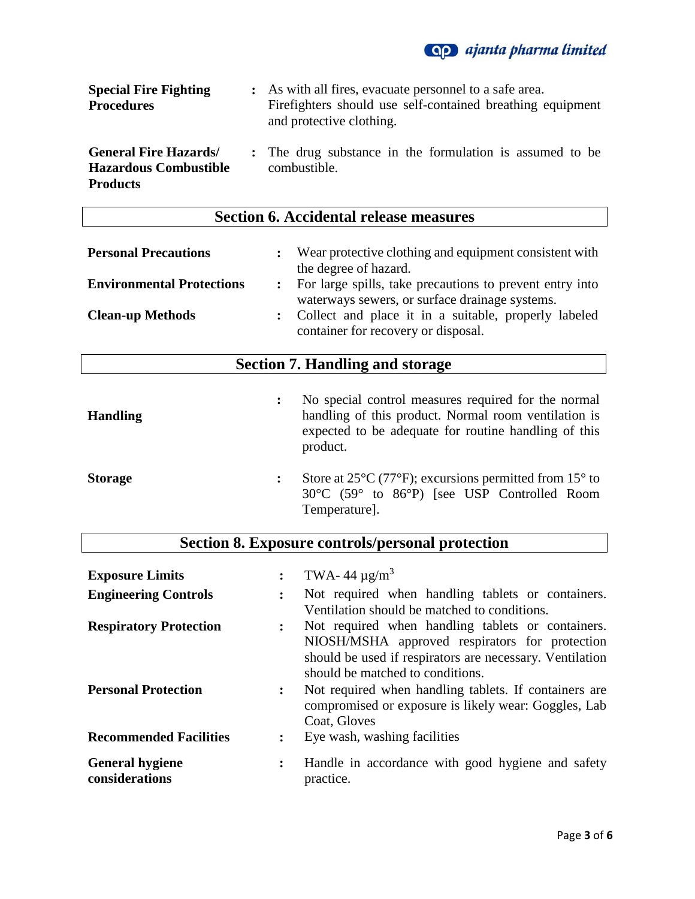

| <b>Special Fire Fighting</b><br><b>Procedures</b>                              | : As with all fires, evacuate personnel to a safe area.<br>Fire fighters should use self-contained breathing equipment<br>and protective clothing. |
|--------------------------------------------------------------------------------|----------------------------------------------------------------------------------------------------------------------------------------------------|
| <b>General Fire Hazards</b><br><b>Hazardous Combustible</b><br><b>Products</b> | : The drug substance in the formulation is assumed to be<br>combustible.                                                                           |

## **Section 6. Accidental release measures**

| <b>Personal Precautions</b>      | Wear protective clothing and equipment consistent with<br>the degree of hazard.                              |
|----------------------------------|--------------------------------------------------------------------------------------------------------------|
| <b>Environmental Protections</b> | : For large spills, take precautions to prevent entry into<br>waterways sewers, or surface drainage systems. |
| <b>Clean-up Methods</b>          | : Collect and place it in a suitable, properly labeled<br>container for recovery or disposal.                |

## **Section 7. Handling and storage**

| <b>Handling</b> | No special control measures required for the normal<br>handling of this product. Normal room ventilation is<br>expected to be adequate for routine handling of this<br>product.        |
|-----------------|----------------------------------------------------------------------------------------------------------------------------------------------------------------------------------------|
| <b>Storage</b>  | Store at $25^{\circ}$ C (77 <sup>o</sup> F); excursions permitted from 15 <sup>o</sup> to<br>$30^{\circ}$ C (59 $^{\circ}$ to $86^{\circ}$ P) [see USP Controlled Room<br>Temperature. |

|                               |                      | Section 8. Exposure controls/personal protection         |
|-------------------------------|----------------------|----------------------------------------------------------|
|                               |                      |                                                          |
| <b>Exposure Limits</b>        |                      | TWA-44 $\mu$ g/m <sup>3</sup>                            |
| <b>Engineering Controls</b>   |                      | Not required when handling tablets or containers.        |
|                               |                      | Ventilation should be matched to conditions.             |
| <b>Respiratory Protection</b> | $\ddot{\phantom{a}}$ | Not required when handling tablets or containers.        |
|                               |                      | NIOSH/MSHA approved respirators for protection           |
|                               |                      | should be used if respirators are necessary. Ventilation |
|                               |                      | should be matched to conditions.                         |
| <b>Personal Protection</b>    |                      | Not required when handling tablets. If containers are    |
|                               |                      | compromised or exposure is likely wear: Goggles, Lab     |
|                               |                      | Coat, Gloves                                             |
| <b>Recommended Facilities</b> |                      | Eye wash, washing facilities                             |
| <b>General hygiene</b>        | $\ddot{\phantom{a}}$ | Handle in accordance with good hygiene and safety        |
| considerations                |                      | practice.                                                |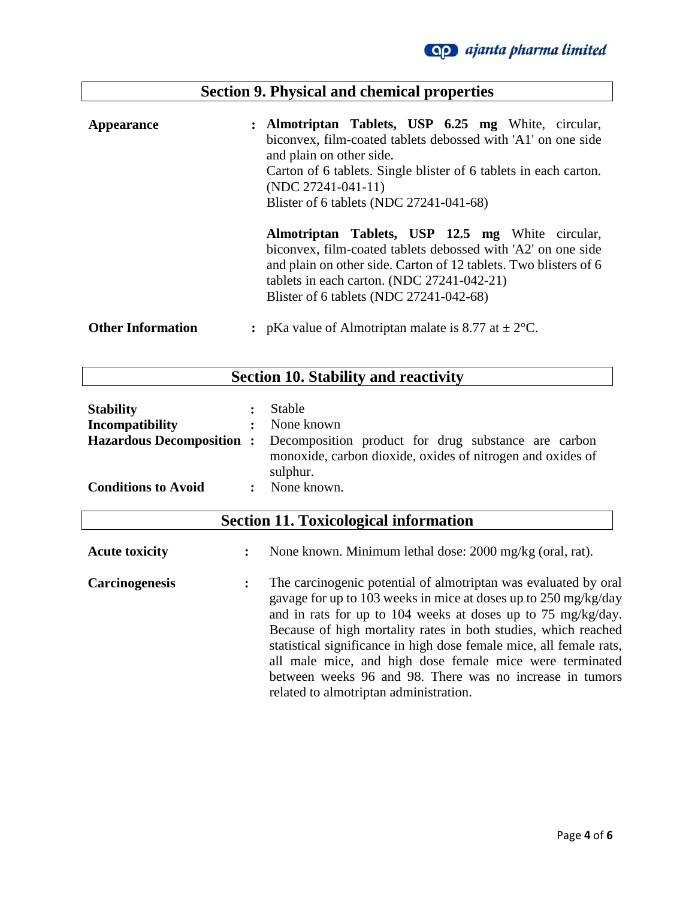|                          | <b>Section 9. Physical and chemical properties</b>                                                                                                                                                                                                                                     |
|--------------------------|----------------------------------------------------------------------------------------------------------------------------------------------------------------------------------------------------------------------------------------------------------------------------------------|
| <b>Appearance</b>        | : Almotriptan Tablets, USP 6.25 mg White, circular,<br>biconvex, film-coated tablets debossed with 'A1' on one side<br>and plain on other side.<br>Carton of 6 tablets. Single blister of 6 tablets in each carton.<br>$(NDC 27241-041-11)$<br>Blister of 6 tablets (NDC 27241-041-68) |
|                          | Almotriptan Tablets, USP 12.5 mg White circular,<br>biconvex, film-coated tablets debossed with 'A2' on one side<br>and plain on other side. Carton of 12 tablets. Two blisters of 6<br>tablets in each carton. (NDC 27241-042-21)<br>Blister of 6 tablets (NDC 27241-042-68)          |
| <b>Other Information</b> | : pKa value of Almotriptan malate is 8.77 at $\pm 2^{\circ}$ C.                                                                                                                                                                                                                        |

Г

# **Section 10. Stability and reactivity**

| <b>Stability</b>           |                | Stable                                                                                                                                                         |
|----------------------------|----------------|----------------------------------------------------------------------------------------------------------------------------------------------------------------|
| Incompatibility            | $\mathbf{r}$   | None known                                                                                                                                                     |
|                            |                | <b>Hazardous Decomposition :</b> Decomposition product for drug substance are carbon<br>monoxide, carbon dioxide, oxides of nitrogen and oxides of<br>sulphur. |
| <b>Conditions to Avoid</b> | $\ddot{\cdot}$ | None known.                                                                                                                                                    |

| <b>Section 11. Toxicological information</b> |  |
|----------------------------------------------|--|
|----------------------------------------------|--|

| <b>Acute toxicity</b> | : | None known. Minimum lethal dose: 2000 mg/kg (oral, rat).                                                                                                                                                                                                                                                                                                                                                                                                                                                      |
|-----------------------|---|---------------------------------------------------------------------------------------------------------------------------------------------------------------------------------------------------------------------------------------------------------------------------------------------------------------------------------------------------------------------------------------------------------------------------------------------------------------------------------------------------------------|
| <b>Carcinogenesis</b> |   | The carcinogenic potential of almotriptan was evaluated by oral<br>gavage for up to 103 weeks in mice at doses up to 250 mg/kg/day<br>and in rats for up to 104 weeks at doses up to 75 mg/kg/day.<br>Because of high mortality rates in both studies, which reached<br>statistical significance in high dose female mice, all female rats,<br>all male mice, and high dose female mice were terminated<br>between weeks 96 and 98. There was no increase in tumors<br>related to almotriptan administration. |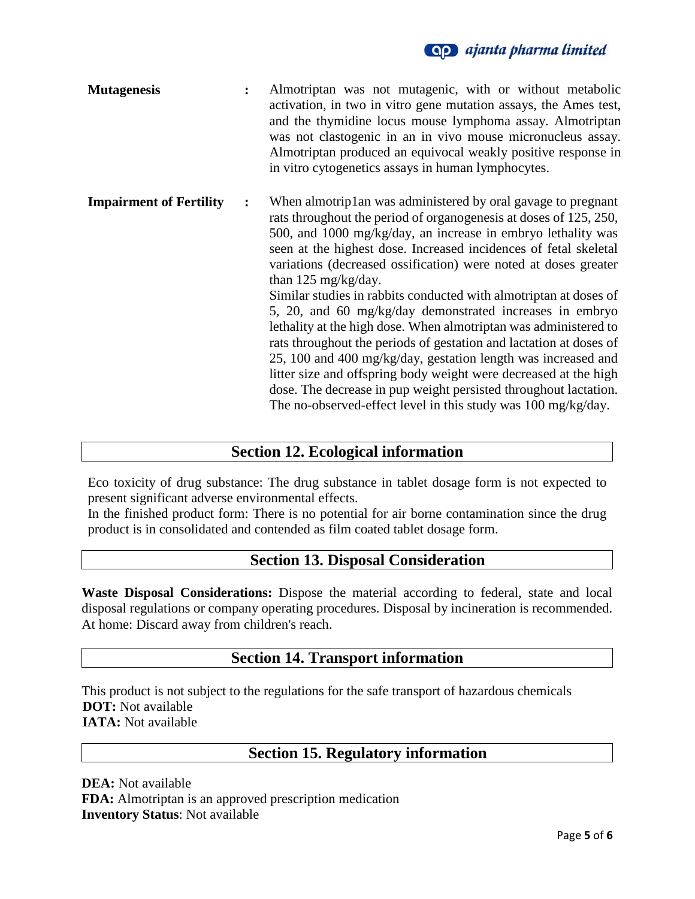### **Qp** ajanta pharma limited

| <b>Mutagenesis</b>             |                | Almotriptan was not mutagenic, with or without metabolic<br>activation, in two in vitro gene mutation assays, the Ames test,<br>and the thymidine locus mouse lymphoma assay. Almotriptan<br>was not clastogenic in an in vivo mouse micronucleus assay.<br>Almotriptan produced an equivocal weakly positive response in<br>in vitro cytogenetics assays in human lymphocytes.                                                                                                                                                                                                                                                                                                                                                                                                                                                                                                                                       |
|--------------------------------|----------------|-----------------------------------------------------------------------------------------------------------------------------------------------------------------------------------------------------------------------------------------------------------------------------------------------------------------------------------------------------------------------------------------------------------------------------------------------------------------------------------------------------------------------------------------------------------------------------------------------------------------------------------------------------------------------------------------------------------------------------------------------------------------------------------------------------------------------------------------------------------------------------------------------------------------------|
| <b>Impairment of Fertility</b> | $\ddot{\cdot}$ | When almotrip1 an was administered by oral gavage to pregnant<br>rats throughout the period of organogenesis at doses of 125, 250,<br>500, and 1000 mg/kg/day, an increase in embryo lethality was<br>seen at the highest dose. Increased incidences of fetal skeletal<br>variations (decreased ossification) were noted at doses greater<br>than 125 mg/kg/day.<br>Similar studies in rabbits conducted with almotriptan at doses of<br>5, 20, and 60 mg/kg/day demonstrated increases in embryo<br>lethality at the high dose. When almotriptan was administered to<br>rats throughout the periods of gestation and lactation at doses of<br>25, 100 and 400 mg/kg/day, gestation length was increased and<br>litter size and offspring body weight were decreased at the high<br>dose. The decrease in pup weight persisted throughout lactation.<br>The no-observed-effect level in this study was 100 mg/kg/day. |

### **Section 12. Ecological information**

Eco toxicity of drug substance: The drug substance in tablet dosage form is not expected to present significant adverse environmental effects.

In the finished product form: There is no potential for air borne contamination since the drug product is in consolidated and contended as film coated tablet dosage form.

### **Section 13. Disposal Consideration**

**Waste Disposal Considerations:** Dispose the material according to federal, state and local disposal regulations or company operating procedures. Disposal by incineration is recommended. At home: Discard away from children's reach.

### **Section 14. Transport information**

This product is not subject to the regulations for the safe transport of hazardous chemicals  **DOT:** Not available  **IATA:** Not available

#### **Section 15. Regulatory information**

**DEA:** Not available **FDA:** Almotriptan is an approved prescription medication **Inventory Status**: Not available